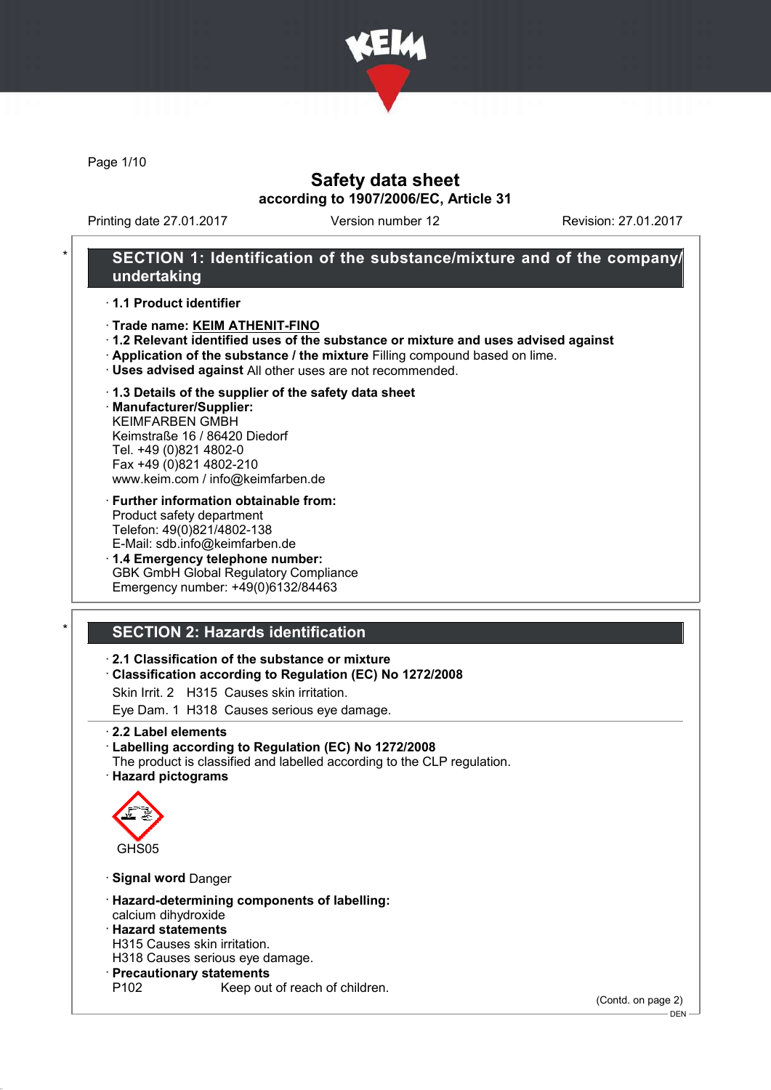

Page 1/10

## Safety data sheet according to 1907/2006/EC, Article 31

Printing date 27.01.2017 Version number 12 Revision: 27.01.2017

## SECTION 1: Identification of the substance/mixture and of the company/ undertaking

· 1.1 Product identifier

- · Trade name: KEIM ATHENIT-FINO
- · 1.2 Relevant identified uses of the substance or mixture and uses advised against
- · Application of the substance / the mixture Filling compound based on lime.
- · Uses advised against All other uses are not recommended.
- · 1.3 Details of the supplier of the safety data sheet

· Manufacturer/Supplier: KEIMFARBEN GMBH Keimstraße 16 / 86420 Diedorf Tel. +49 (0)821 4802-0 Fax +49 (0)821 4802-210 www.keim.com / info@keimfarben.de

- · Further information obtainable from: Product safety department Telefon: 49(0)821/4802-138 E-Mail: sdb.info@keimfarben.de
- · 1.4 Emergency telephone number: GBK GmbH Global Regulatory Compliance Emergency number: +49(0)6132/84463

# **SECTION 2: Hazards identification**

### · 2.1 Classification of the substance or mixture

- · Classification according to Regulation (EC) No 1272/2008
- Skin Irrit. 2 H315 Causes skin irritation.
- Eye Dam. 1 H318 Causes serious eye damage.
- · 2.2 Label elements
- · Labelling according to Regulation (EC) No 1272/2008
- The product is classified and labelled according to the CLP regulation. · Hazard pictograms



- · Signal word Danger
- · Hazard-determining components of labelling: calcium dihydroxide
- · Hazard statements
- H315 Causes skin irritation.
- H318 Causes serious eye damage.
- · Precautionary statements
	- Keep out of reach of children.

(Contd. on page 2)

DEN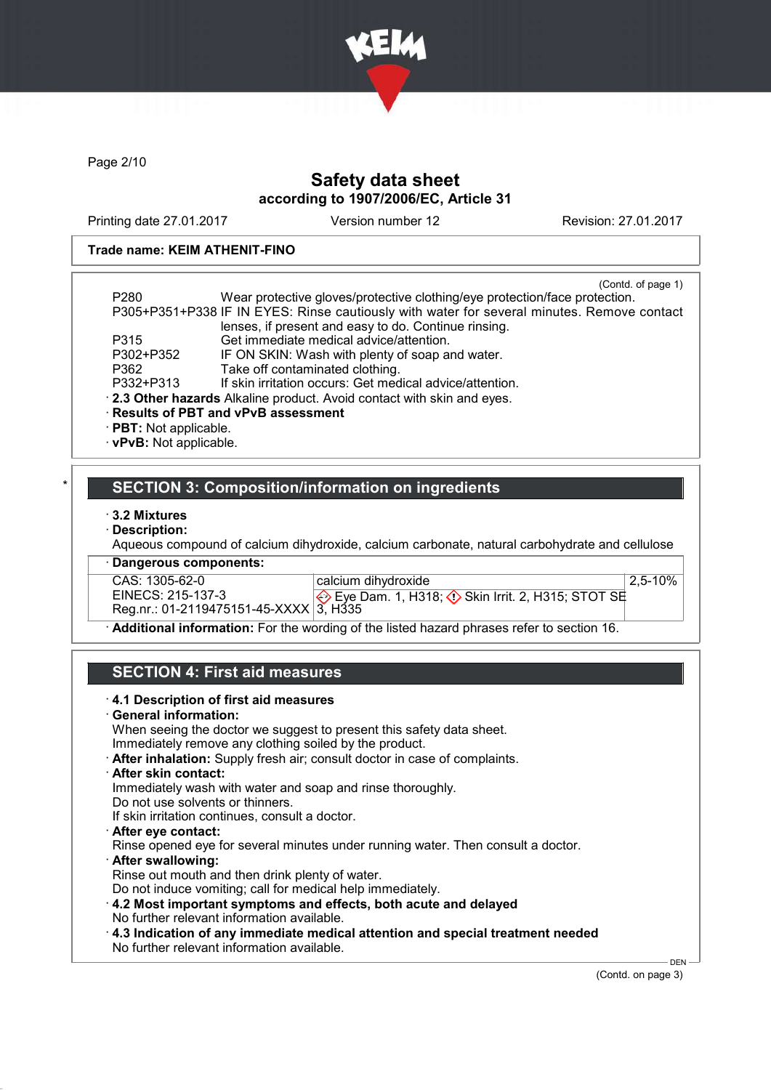

Page 2/10

# Safety data sheet according to 1907/2006/EC, Article 31

Printing date 27.01.2017 Version number 12 Revision: 27.01.2017

### Trade name: KEIM ATHENIT-FINO

| P <sub>280</sub>        | (Contd. of page 1)<br>Wear protective gloves/protective clothing/eye protection/face protection. |
|-------------------------|--------------------------------------------------------------------------------------------------|
|                         | P305+P351+P338 IF IN EYES: Rinse cautiously with water for several minutes. Remove contact       |
|                         | lenses, if present and easy to do. Continue rinsing.                                             |
| P315                    | Get immediate medical advice/attention.                                                          |
| P302+P352               | IF ON SKIN: Wash with plenty of soap and water.                                                  |
| P362                    | Take off contaminated clothing.                                                                  |
| P332+P313               | If skin irritation occurs: Get medical advice/attention.                                         |
|                         | . 2.3 Other hazards Alkaline product. Avoid contact with skin and eyes.                          |
|                         | · Results of PBT and vPvB assessment                                                             |
| · PBT: Not applicable.  |                                                                                                  |
| · vPvB: Not applicable. |                                                                                                  |

### SECTION 3: Composition/information on ingredients

- · 3.2 Mixtures
- · Description:

Aqueous compound of calcium dihydroxide, calcium carbonate, natural carbohydrate and cellulose

· Dangerous components:

CAS: 1305-62-0<br>EINECS: 215-137-3 EINECS: 215-137-3 Reg.nr.: 01-2119475151-45-XXXX calcium dihydroxide Eye Dam. 1, H318;  $\diamondsuit$  Skin Irrit. 2, H315; STOT SE 3, H335 2,5-10%

· Additional information: For the wording of the listed hazard phrases refer to section 16.

# SECTION 4: First aid measures

| When seeing the doctor we suggest to present this safety data sheet.                   |  |
|----------------------------------------------------------------------------------------|--|
| Immediately remove any clothing soiled by the product.                                 |  |
| After inhalation: Supply fresh air; consult doctor in case of complaints.              |  |
| $\cdot$ After skin contact:                                                            |  |
| Immediately wash with water and soap and rinse thoroughly.                             |  |
| Do not use solvents or thinners.                                                       |  |
| If skin irritation continues, consult a doctor.                                        |  |
| After eye contact:                                                                     |  |
| Rinse opened eye for several minutes under running water. Then consult a doctor.       |  |
| · After swallowing:                                                                    |  |
| Rinse out mouth and then drink plenty of water.                                        |  |
| Do not induce vomiting; call for medical help immediately.                             |  |
| 4.2 Most important symptoms and effects, both acute and delayed                        |  |
| No further relevant information available.                                             |  |
| $\cdot$ 4.3 Indication of any immediate medical attention and special treatment needed |  |
| No further relevant information available.                                             |  |

(Contd. on page 3)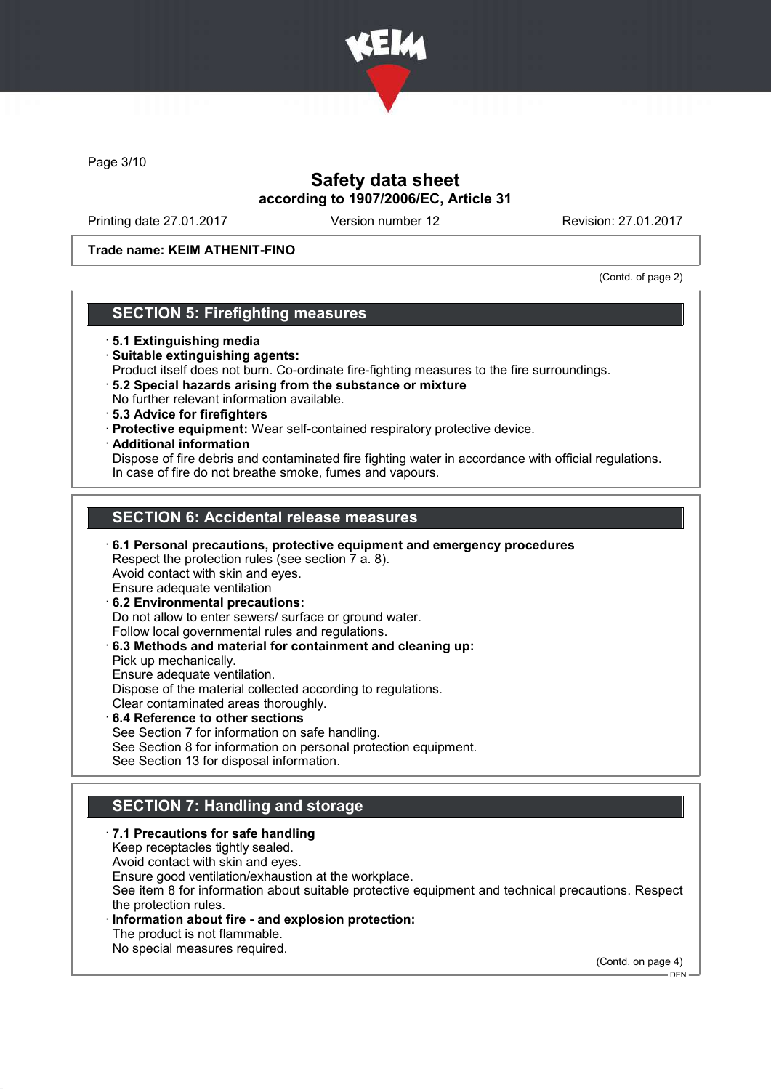

Page 3/10

# Safety data sheet according to 1907/2006/EC, Article 31

Printing date 27.01.2017 Version number 12 Revision: 27.01.2017

Trade name: KEIM ATHENIT-FINO

(Contd. of page 2)

### SECTION 5: Firefighting measures

- · 5.1 Extinguishing media
- · Suitable extinguishing agents:
- Product itself does not burn. Co-ordinate fire-fighting measures to the fire surroundings.
- · 5.2 Special hazards arising from the substance or mixture No further relevant information available.
- · 5.3 Advice for firefighters
- · Protective equipment: Wear self-contained respiratory protective device.
- · Additional information

Dispose of fire debris and contaminated fire fighting water in accordance with official regulations. In case of fire do not breathe smoke, fumes and vapours.

# SECTION 6: Accidental release measures

· 6.1 Personal precautions, protective equipment and emergency procedures Respect the protection rules (see section 7 a. 8). Avoid contact with skin and eyes. Ensure adequate ventilation · 6.2 Environmental precautions: Do not allow to enter sewers/ surface or ground water. Follow local governmental rules and regulations. · 6.3 Methods and material for containment and cleaning up: Pick up mechanically. Ensure adequate ventilation. Dispose of the material collected according to regulations.

Clear contaminated areas thoroughly.

6.4 Reference to other sections See Section 7 for information on safe handling. See Section 8 for information on personal protection equipment. See Section 13 for disposal information.

# **SECTION 7: Handling and storage**

#### · 7.1 Precautions for safe handling Keep receptacles tightly sealed. Avoid contact with skin and eyes. Ensure good ventilation/exhaustion at the workplace. See item 8 for information about suitable protective equipment and technical precautions. Respect the protection rules. Information about fire - and explosion protection: The product is not flammable. No special measures required.

(Contd. on page 4)

DEN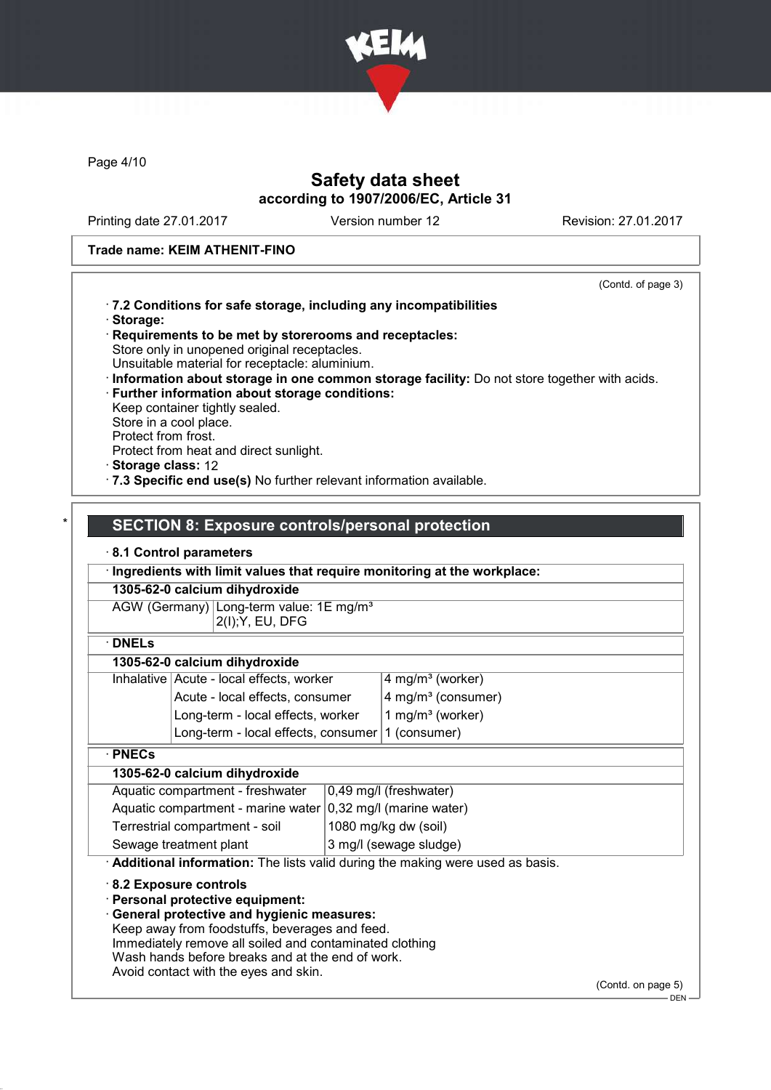

Page 4/10

# Safety data sheet according to 1907/2006/EC, Article 31

Printing date 27.01.2017 Version number 12 Revision: 27.01.2017

### Trade name: KEIM ATHENIT-FINO

(Contd. of page 3)

|                     |                                                                                                |  |                                                                                             | (Control of page $3)$ ) |
|---------------------|------------------------------------------------------------------------------------------------|--|---------------------------------------------------------------------------------------------|-------------------------|
|                     | · 7.2 Conditions for safe storage, including any incompatibilities                             |  |                                                                                             |                         |
| · Storage:          |                                                                                                |  |                                                                                             |                         |
|                     | Requirements to be met by storerooms and receptacles:                                          |  |                                                                                             |                         |
|                     | Store only in unopened original receptacles.<br>Unsuitable material for receptacle: aluminium. |  |                                                                                             |                         |
|                     |                                                                                                |  | Information about storage in one common storage facility: Do not store together with acids. |                         |
|                     | · Further information about storage conditions:                                                |  |                                                                                             |                         |
|                     | Keep container tightly sealed.                                                                 |  |                                                                                             |                         |
|                     | Store in a cool place.                                                                         |  |                                                                                             |                         |
| Protect from frost. | Protect from heat and direct sunlight.                                                         |  |                                                                                             |                         |
| Storage class: 12   |                                                                                                |  |                                                                                             |                         |
|                     | · 7.3 Specific end use(s) No further relevant information available.                           |  |                                                                                             |                         |
|                     |                                                                                                |  |                                                                                             |                         |
|                     |                                                                                                |  |                                                                                             |                         |
|                     | <b>SECTION 8: Exposure controls/personal protection</b>                                        |  |                                                                                             |                         |
|                     | 8.1 Control parameters                                                                         |  |                                                                                             |                         |
|                     |                                                                                                |  | Ingredients with limit values that require monitoring at the workplace:                     |                         |
|                     | 1305-62-0 calcium dihydroxide                                                                  |  |                                                                                             |                         |
|                     | AGW (Germany) Long-term value: 1E mg/m <sup>3</sup>                                            |  |                                                                                             |                         |
|                     | 2(I); Y, EU, DFG                                                                               |  |                                                                                             |                         |
| $\cdot$ DNELs       |                                                                                                |  |                                                                                             |                         |
|                     | 1305-62-0 calcium dihydroxide                                                                  |  |                                                                                             |                         |
|                     | Inhalative Acute - local effects, worker                                                       |  | 4 mg/m <sup>3</sup> (worker)                                                                |                         |
|                     | Acute - local effects, consumer                                                                |  | 4 mg/m <sup>3</sup> (consumer)                                                              |                         |
|                     | Long-term - local effects, worker                                                              |  | 1 mg/m <sup>3</sup> (worker)                                                                |                         |
|                     | Long-term - local effects, consumer                                                            |  | 1 (consumer)                                                                                |                         |
| · PNECs             |                                                                                                |  |                                                                                             |                         |
|                     | 1305-62-0 calcium dihydroxide                                                                  |  |                                                                                             |                         |
|                     | Aquatic compartment - freshwater                                                               |  | 0,49 mg/l (freshwater)                                                                      |                         |
|                     | Aquatic compartment - marine water                                                             |  | 0,32 mg/l (marine water)                                                                    |                         |
|                     | Terrestrial compartment - soil                                                                 |  | 1080 mg/kg dw (soil)                                                                        |                         |
|                     | Sewage treatment plant                                                                         |  | 3 mg/l (sewage sludge)                                                                      |                         |
|                     |                                                                                                |  | Additional information: The lists valid during the making were used as basis.               |                         |
|                     | 8.2 Exposure controls                                                                          |  |                                                                                             |                         |
|                     | Personal protective equipment:                                                                 |  |                                                                                             |                         |
|                     | <b>General protective and hygienic measures:</b>                                               |  |                                                                                             |                         |
|                     | Keep away from foodstuffs, beverages and feed.                                                 |  |                                                                                             |                         |
|                     | Immediately remove all soiled and contaminated clothing                                        |  |                                                                                             |                         |
|                     | Wash hands before breaks and at the end of work.                                               |  |                                                                                             |                         |
|                     | Avoid contact with the eyes and skin.                                                          |  |                                                                                             |                         |
|                     |                                                                                                |  |                                                                                             | (Contd. on page 5)      |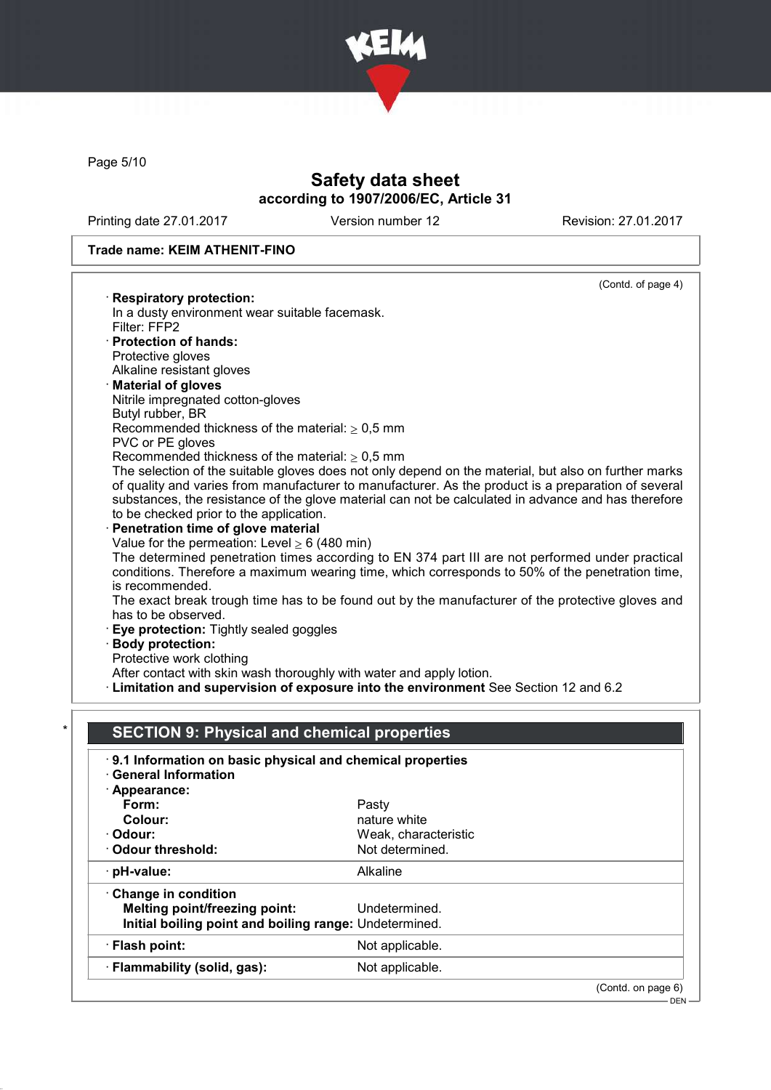

Page 5/10

# Safety data sheet according to 1907/2006/EC, Article 31

Printing date 27.01.2017 Version number 12 Revision: 27.01.2017

### Trade name: KEIM ATHENIT-FINO

|                                                                          | (Contd. of page 4)                                                                                   |
|--------------------------------------------------------------------------|------------------------------------------------------------------------------------------------------|
| <b>Respiratory protection:</b>                                           |                                                                                                      |
| In a dusty environment wear suitable facemask.                           |                                                                                                      |
| Filter: FFP2                                                             |                                                                                                      |
| · Protection of hands:                                                   |                                                                                                      |
| Protective gloves                                                        |                                                                                                      |
| Alkaline resistant gloves                                                |                                                                                                      |
| <b>Material of gloves</b>                                                |                                                                                                      |
| Nitrile impregnated cotton-gloves                                        |                                                                                                      |
| Butyl rubber, BR                                                         |                                                                                                      |
| Recommended thickness of the material: $\geq 0.5$ mm<br>PVC or PE gloves |                                                                                                      |
| Recommended thickness of the material: $\geq 0.5$ mm                     |                                                                                                      |
|                                                                          | The selection of the suitable gloves does not only depend on the material, but also on further marks |
|                                                                          | of quality and varies from manufacturer to manufacturer. As the product is a preparation of several  |
|                                                                          | substances, the resistance of the glove material can not be calculated in advance and has therefore  |
| to be checked prior to the application.                                  |                                                                                                      |
| Penetration time of glove material                                       |                                                                                                      |
| Value for the permeation: Level $\geq 6$ (480 min)                       |                                                                                                      |
|                                                                          | The determined penetration times according to EN 374 part III are not performed under practical      |
|                                                                          | conditions. Therefore a maximum wearing time, which corresponds to 50% of the penetration time,      |
| is recommended.                                                          |                                                                                                      |
|                                                                          | The exact break trough time has to be found out by the manufacturer of the protective gloves and     |
| has to be observed.                                                      |                                                                                                      |
| Eye protection: Tightly sealed goggles                                   |                                                                                                      |
| · Body protection:                                                       |                                                                                                      |
| Protective work clothing                                                 |                                                                                                      |
| After contact with skin wash thoroughly with water and apply lotion.     |                                                                                                      |
|                                                                          | · Limitation and supervision of exposure into the environment See Section 12 and 6.2                 |
|                                                                          |                                                                                                      |
| <b>SECTION 9: Physical and chemical properties</b>                       |                                                                                                      |
|                                                                          |                                                                                                      |
| 9.1 Information on basic physical and chemical properties                |                                                                                                      |
| <b>General Information</b>                                               |                                                                                                      |
| · Appearance:                                                            |                                                                                                      |
| Form:                                                                    | Pasty                                                                                                |
| Colour:                                                                  | nature white                                                                                         |
| · Odour:                                                                 | Weak, characteristic                                                                                 |
| <b>Odour threshold:</b>                                                  | Not determined.                                                                                      |
| pH-value:                                                                | Alkaline                                                                                             |
| Change in condition                                                      |                                                                                                      |
| <b>Melting point/freezing point:</b>                                     |                                                                                                      |
|                                                                          |                                                                                                      |
|                                                                          | Undetermined.                                                                                        |
| Initial boiling point and boiling range: Undetermined.                   |                                                                                                      |
| · Flash point:<br>· Flammability (solid, gas):                           | Not applicable.<br>Not applicable.                                                                   |

(Contd. on page 6)

DEN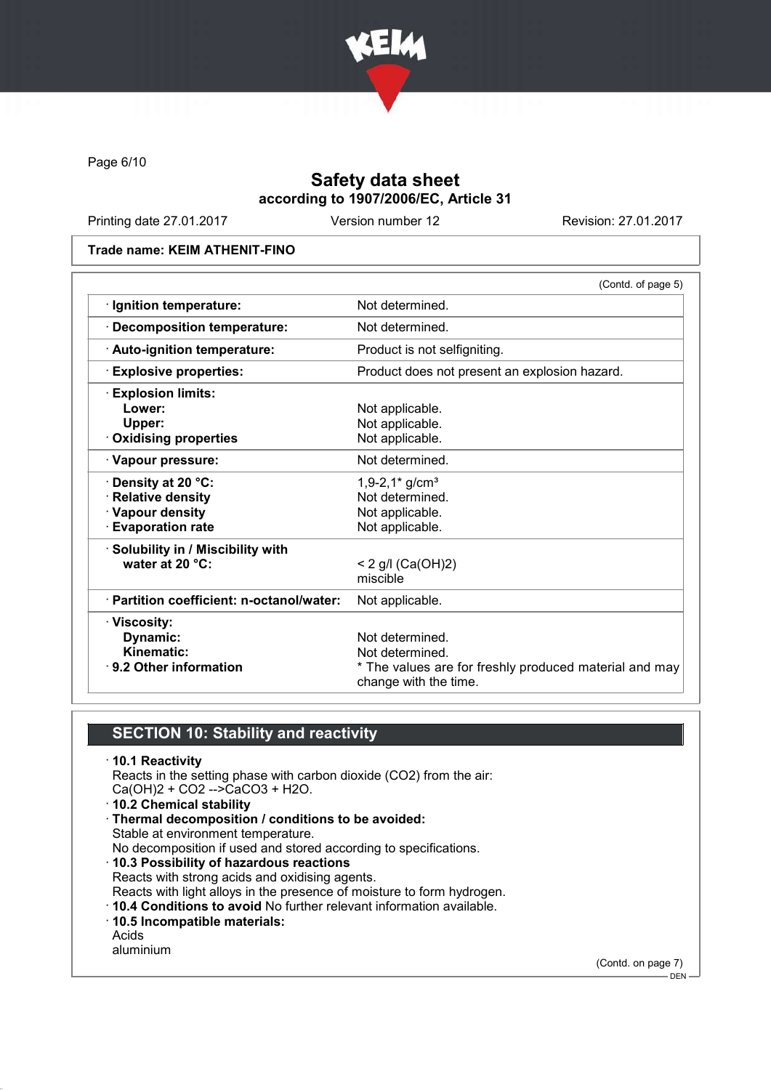

Page 6/10

# Safety data sheet according to 1907/2006/EC, Article 31

Printing date 27.01.2017 Version number 12 Revision: 27.01.2017

#### Trade name: KEIM ATHENIT-FINO

|                                           | (Contd. of page 5)                                                              |
|-------------------------------------------|---------------------------------------------------------------------------------|
| · Ignition temperature:                   | Not determined.                                                                 |
| · Decomposition temperature:              | Not determined.                                                                 |
| · Auto-ignition temperature:              | Product is not selfigniting.                                                    |
| <b>Explosive properties:</b>              | Product does not present an explosion hazard.                                   |
| <b>Explosion limits:</b>                  |                                                                                 |
| Lower:                                    | Not applicable.                                                                 |
| Upper:                                    | Not applicable.                                                                 |
| <b>Oxidising properties</b>               | Not applicable.                                                                 |
| · Vapour pressure:                        | Not determined.                                                                 |
| · Density at 20 °C:                       | $1,9-2,1$ * g/cm <sup>3</sup>                                                   |
| · Relative density                        | Not determined.                                                                 |
| · Vapour density                          | Not applicable.                                                                 |
| <b>Evaporation rate</b>                   | Not applicable.                                                                 |
| · Solubility in / Miscibility with        |                                                                                 |
| water at 20 °C:                           | < 2 g/l (Ca(OH)2)                                                               |
|                                           | miscible                                                                        |
| · Partition coefficient: n-octanol/water: | Not applicable.                                                                 |
| · Viscosity:                              |                                                                                 |
| Dynamic:                                  | Not determined.                                                                 |
| Kinematic:                                | Not determined.                                                                 |
| $\cdot$ 9.2 Other information             | * The values are for freshly produced material and may<br>change with the time. |

## SECTION 10: Stability and reactivity

· 10.1 Reactivity Reacts in the setting phase with carbon dioxide (CO2) from the air: Ca(OH)2 + CO2 -->CaCO3 + H2O. · 10.2 Chemical stability · Thermal decomposition / conditions to be avoided: Stable at environment temperature. No decomposition if used and stored according to specifications. · 10.3 Possibility of hazardous reactions Reacts with strong acids and oxidising agents. Reacts with light alloys in the presence of moisture to form hydrogen. · 10.4 Conditions to avoid No further relevant information available. · 10.5 Incompatible materials: Acids aluminium

(Contd. on page 7)  $-$  DEN -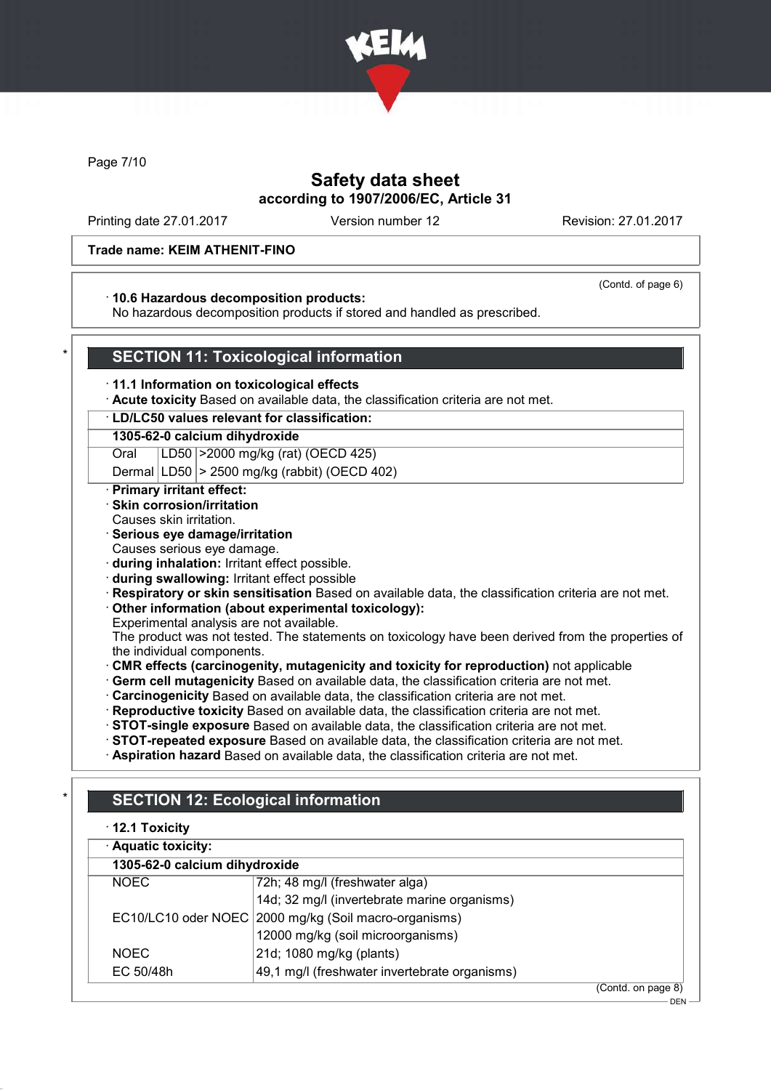

Page 7/10

## Safety data sheet according to 1907/2006/EC, Article 31

Printing date 27.01.2017 Version number 12 Revision: 27.01.2017

(Contd. of page 6)

### Trade name: KEIM ATHENIT-FINO

#### · 10.6 Hazardous decomposition products:

No hazardous decomposition products if stored and handled as prescribed.

### **SECTION 11: Toxicological information**

- · 11.1 Information on toxicological effects
- · Acute toxicity Based on available data, the classification criteria are not met.

### · LD/LC50 values relevant for classification:

### 1305-62-0 calcium dihydroxide

Oral LD50 >2000 mg/kg (rat) (OECD 425)

Dermal LD50 > 2500 mg/kg (rabbit) (OECD 402)

#### · Primary irritant effect:

- · Skin corrosion/irritation
- Causes skin irritation.

### · Serious eye damage/irritation

- Causes serious eye damage.
- · during inhalation: Irritant effect possible.
- · during swallowing: Irritant effect possible
- · Respiratory or skin sensitisation Based on available data, the classification criteria are not met.

### · Other information (about experimental toxicology):

Experimental analysis are not available.

The product was not tested. The statements on toxicology have been derived from the properties of the individual components.

- · CMR effects (carcinogenity, mutagenicity and toxicity for reproduction) not applicable
- · Germ cell mutagenicity Based on available data, the classification criteria are not met.
- · Carcinogenicity Based on available data, the classification criteria are not met.
- Reproductive toxicity Based on available data, the classification criteria are not met.
- · STOT-single exposure Based on available data, the classification criteria are not met.
- · STOT-repeated exposure Based on available data, the classification criteria are not met.
- · Aspiration hazard Based on available data, the classification criteria are not met.

# **SECTION 12: Ecological information**

# · 12.1 Toxicity Aquatic toxicity: 1305-62-0 calcium dihydroxide NOEC 72h; 48 mg/l (freshwater alga) 14d; 32 mg/l (invertebrate marine organisms) EC10/LC10 oder NOEC 2000 mg/kg (Soil macro-organisms)

12000 mg/kg (soil microorganisms) NOEC 21d; 1080 mg/kg (plants) EC 50/48h 49,1 mg/l (freshwater invertebrate organisms)

(Contd. on page 8)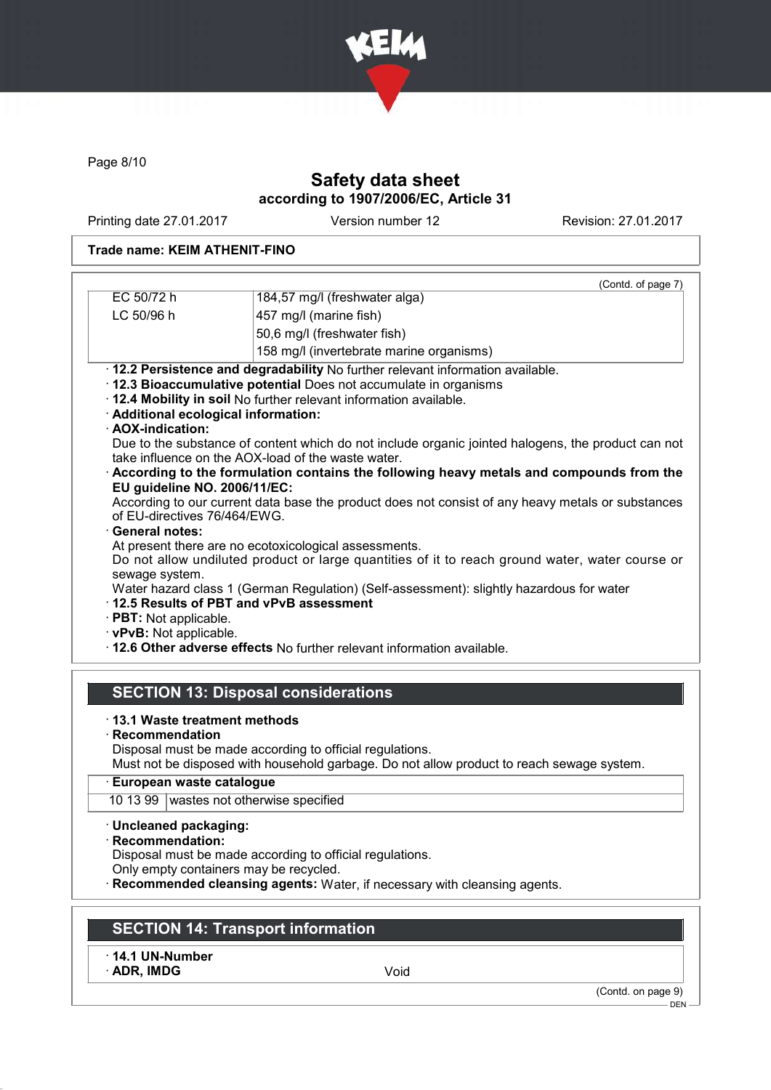

Page 8/10

# Safety data sheet according to 1907/2006/EC, Article 31

Printing date 27.01.2017 Version number 12 Revision: 27.01.2017

### Trade name: KEIM ATHENIT-FINO

| EC 50/72 h                           | (Contd. of page 7)                                                                                                                                       |
|--------------------------------------|----------------------------------------------------------------------------------------------------------------------------------------------------------|
|                                      | 184,57 mg/l (freshwater alga)                                                                                                                            |
| LC 50/96 h                           | 457 mg/l (marine fish)                                                                                                                                   |
|                                      | 50,6 mg/l (freshwater fish)                                                                                                                              |
|                                      | 158 mg/l (invertebrate marine organisms)                                                                                                                 |
|                                      | · 12.2 Persistence and degradability No further relevant information available.                                                                          |
|                                      | · 12.3 Bioaccumulative potential Does not accumulate in organisms                                                                                        |
|                                      | · 12.4 Mobility in soil No further relevant information available.                                                                                       |
| · Additional ecological information: |                                                                                                                                                          |
| · AOX-indication:                    |                                                                                                                                                          |
|                                      | Due to the substance of content which do not include organic jointed halogens, the product can not<br>take influence on the AOX-load of the waste water. |
|                                      | $\cdot$ According to the formulation contains the following heavy metals and compounds from the                                                          |
| EU guideline NO. 2006/11/EC:         | According to our current data base the product does not consist of any heavy metals or substances                                                        |
| of EU-directives 76/464/EWG.         |                                                                                                                                                          |
| · General notes:                     |                                                                                                                                                          |
|                                      | At present there are no ecotoxicological assessments.                                                                                                    |
|                                      | Do not allow undiluted product or large quantities of it to reach ground water, water course or                                                          |
| sewage system.                       |                                                                                                                                                          |
|                                      | Water hazard class 1 (German Regulation) (Self-assessment): slightly hazardous for water                                                                 |
|                                      | 12.5 Results of PBT and vPvB assessment                                                                                                                  |
| $\cdot$ PBT: Not applicable.         |                                                                                                                                                          |
| · vPvB: Not applicable.              |                                                                                                                                                          |
|                                      |                                                                                                                                                          |
|                                      | . 12.6 Other adverse effects No further relevant information available.                                                                                  |

#### · 13.1 Waste treatment methods

· Recommendation

Disposal must be made according to official regulations.

Must not be disposed with household garbage. Do not allow product to reach sewage system.

### · European waste catalogue

10 13 99 wastes not otherwise specified

- · Uncleaned packaging:
- · Recommendation:

Disposal must be made according to official regulations.

Only empty containers may be recycled.

· Recommended cleansing agents: Water, if necessary with cleansing agents.

# SECTION 14: Transport information

### · 14.1 UN-Number

· ADR, IMDG Void

(Contd. on page 9)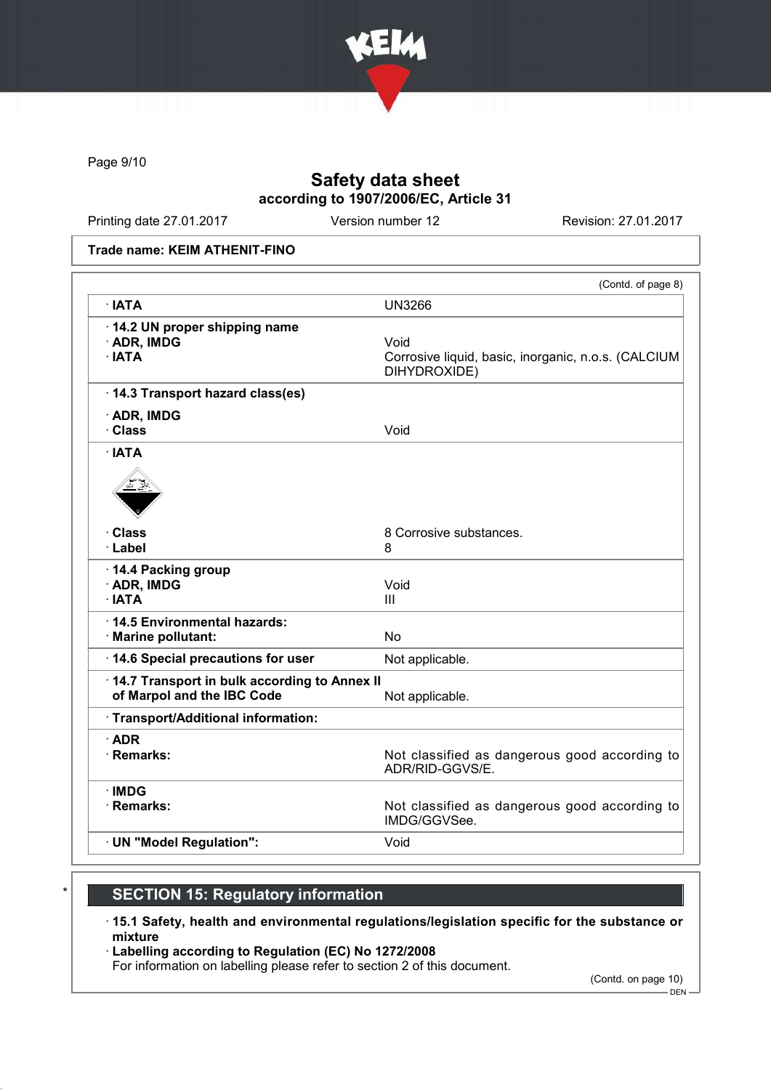

Page 9/10

# Safety data sheet according to 1907/2006/EC, Article 31

Printing date 27.01.2017 Version number 12 Revision: 27.01.2017

#### Trade name: KEIM ATHENIT-FINO

|                                                                            | (Contd. of page 8)                                                          |
|----------------------------------------------------------------------------|-----------------------------------------------------------------------------|
| · IATA                                                                     | <b>UN3266</b>                                                               |
| 14.2 UN proper shipping name<br>· ADR, IMDG<br>$\cdot$ IATA                | Void<br>Corrosive liquid, basic, inorganic, n.o.s. (CALCIUM<br>DIHYDROXIDE) |
| · 14.3 Transport hazard class(es)                                          |                                                                             |
| · ADR, IMDG<br>· Class                                                     | Void                                                                        |
| $\cdot$ IATA                                                               |                                                                             |
|                                                                            |                                                                             |
| · Class<br>· Label                                                         | 8 Corrosive substances.<br>8                                                |
| 14.4 Packing group<br>· ADR, IMDG<br>$\cdot$ IATA                          | Void<br>III                                                                 |
| 14.5 Environmental hazards:<br>· Marine pollutant:                         | <b>No</b>                                                                   |
| · 14.6 Special precautions for user                                        | Not applicable.                                                             |
| 14.7 Transport in bulk according to Annex II<br>of Marpol and the IBC Code | Not applicable.                                                             |
| · Transport/Additional information:                                        |                                                                             |
| $\cdot$ ADR<br>· Remarks:                                                  | Not classified as dangerous good according to<br>ADR/RID-GGVS/E.            |
| $\cdot$ IMDG<br>· Remarks:                                                 | Not classified as dangerous good according to<br>IMDG/GGVSee.               |
| · UN "Model Regulation":                                                   | Void                                                                        |

# **SECTION 15: Regulatory information**

- · 15.1 Safety, health and environmental regulations/legislation specific for the substance or mixture
- · Labelling according to Regulation (EC) No 1272/2008
- For information on labelling please refer to section 2 of this document.

(Contd. on page 10)

DEN